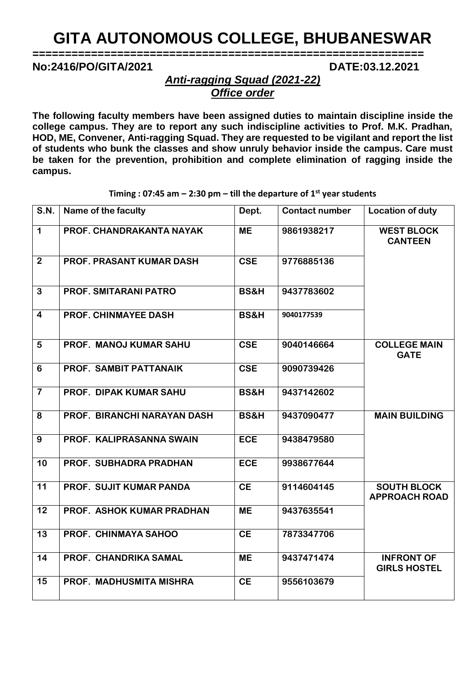## **GITA AUTONOMOUS COLLEGE, BHUBANESWAR**

**============================================================**

**No:2416/PO/GITA/2021 DATE:03.12.2021**

*Anti-ragging Squad (2021-22) Office order*

**The following faculty members have been assigned duties to maintain discipline inside the college campus. They are to report any such indiscipline activities to Prof. M.K. Pradhan, HOD, ME, Convener, Anti-ragging Squad. They are requested to be vigilant and report the list of students who bunk the classes and show unruly behavior inside the campus. Care must be taken for the prevention, prohibition and complete elimination of ragging inside the campus.** 

| Name of the faculty             | Dept.           | <b>Contact number</b> | <b>Location of duty</b>                    |
|---------------------------------|-----------------|-----------------------|--------------------------------------------|
| PROF. CHANDRAKANTA NAYAK        | <b>ME</b>       | 9861938217            | <b>WEST BLOCK</b><br><b>CANTEEN</b>        |
| <b>PROF. PRASANT KUMAR DASH</b> | <b>CSE</b>      | 9776885136            |                                            |
| <b>PROF. SMITARANI PATRO</b>    | <b>BS&amp;H</b> | 9437783602            |                                            |
| <b>PROF. CHINMAYEE DASH</b>     | <b>BS&amp;H</b> | 9040177539            |                                            |
| PROF. MANOJ KUMAR SAHU          | <b>CSE</b>      | 9040146664            | <b>COLLEGE MAIN</b><br><b>GATE</b>         |
| PROF. SAMBIT PATTANAIK          | <b>CSE</b>      | 9090739426            |                                            |
| PROF. DIPAK KUMAR SAHU          | <b>BS&amp;H</b> | 9437142602            |                                            |
| PROF. BIRANCHI NARAYAN DASH     | <b>BS&amp;H</b> | 9437090477            | <b>MAIN BUILDING</b>                       |
| PROF. KALIPRASANNA SWAIN        | <b>ECE</b>      | 9438479580            |                                            |
| PROF. SUBHADRA PRADHAN          | <b>ECE</b>      | 9938677644            |                                            |
| PROF. SUJIT KUMAR PANDA         | <b>CE</b>       | 9114604145            | <b>SOUTH BLOCK</b><br><b>APPROACH ROAD</b> |
| PROF. ASHOK KUMAR PRADHAN       | <b>ME</b>       | 9437635541            |                                            |
| PROF. CHINMAYA SAHOO            | <b>CE</b>       | 7873347706            |                                            |
| PROF. CHANDRIKA SAMAL           | <b>ME</b>       | 9437471474            | <b>INFRONT OF</b><br><b>GIRLS HOSTEL</b>   |
| PROF. MADHUSMITA MISHRA         | <b>CE</b>       | 9556103679            |                                            |
|                                 |                 |                       |                                            |

**Timing : 07:45 am – 2:30 pm – till the departure of 1st year students**